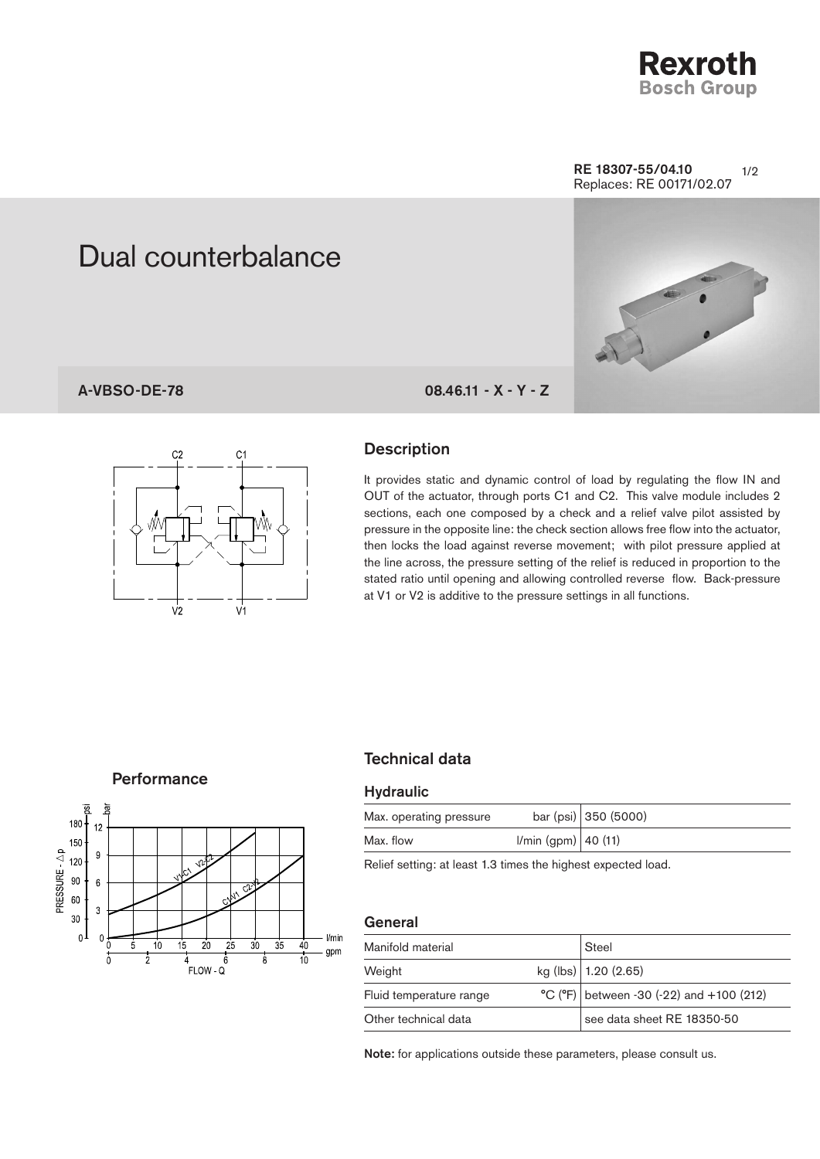

#### $1/2$ RE 18307-55/04.10 Replaces: RE 00171/02.07

# Dual counterbalance

## A-VBSO-DE-78 08.46.11 - X - Y - Z



#### **Description**

It provides static and dynamic control of load by regulating the flow IN and OUT of the actuator, through ports C1 and C2. This valve module includes 2 sections, each one composed by a check and a relief valve pilot assisted by pressure in the opposite line: the check section allows free flow into the actuator, then locks the load against reverse movement; with pilot pressure applied at the line across, the pressure setting of the relief is reduced in proportion to the stated ratio until opening and allowing controlled reverse flow. Back-pressure at V1 or V2 is additive to the pressure settings in all functions.

#### **Performance**



## Technical data

#### **Hydraulic**

| Max. operating pressure |                     | bar (psi) 350 (5000) |
|-------------------------|---------------------|----------------------|
| Max. flow               | I/min (gpm) 40 (11) |                      |

Relief setting: at least 1.3 times the highest expected load.

#### **General**

| Manifold material       |  | Steel                                      |  |
|-------------------------|--|--------------------------------------------|--|
| Weight                  |  | kg (lbs) $ 1.20(2.65) $                    |  |
| Fluid temperature range |  | $°C$ (°F) between -30 (-22) and +100 (212) |  |
| Other technical data    |  | see data sheet RE 18350-50                 |  |

Note: for applications outside these parameters, please consult us.